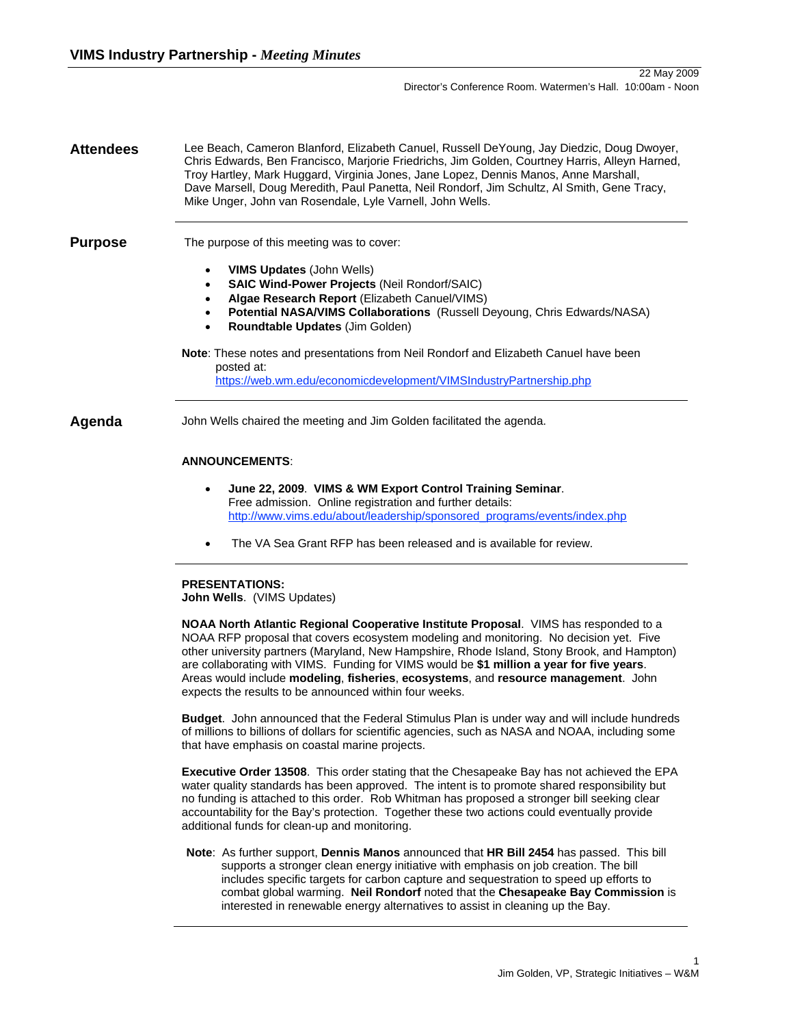**Attendees** Lee Beach, Cameron Blanford, Elizabeth Canuel, Russell DeYoung, Jay Diedzic, Doug Dwoyer, Chris Edwards, Ben Francisco, Marjorie Friedrichs, Jim Golden, Courtney Harris, Alleyn Harned, Troy Hartley, Mark Huggard, Virginia Jones, Jane Lopez, Dennis Manos, Anne Marshall, Dave Marsell, Doug Meredith, Paul Panetta, Neil Rondorf, Jim Schultz, Al Smith, Gene Tracy, Mike Unger, John van Rosendale, Lyle Varnell, John Wells.

#### **Purpose** The purpose of this meeting was to cover:

- **VIMS Updates** (John Wells)
- **SAIC Wind-Power Projects** (Neil Rondorf/SAIC)
- **Algae Research Report** (Elizabeth Canuel/VIMS)
- **Potential NASA/VIMS Collaborations** (Russell Deyoung, Chris Edwards/NASA)
- **Roundtable Updates** (Jim Golden)

# **Note**: These notes and presentations from Neil Rondorf and Elizabeth Canuel have been posted at: https://web.wm.edu/economicdevelopment/VIMSIndustryPartnership.php

**Agenda** John Wells chaired the meeting and Jim Golden facilitated the agenda.

# **ANNOUNCEMENTS**:

- **June 22, 2009**. **VIMS & WM Export Control Training Seminar**. Free admission. Online registration and further details: http://www.vims.edu/about/leadership/sponsored\_programs/events/index.php
- The VA Sea Grant RFP has been released and is available for review.

#### **PRESENTATIONS:**

**John Wells**. (VIMS Updates)

**NOAA North Atlantic Regional Cooperative Institute Proposal**. VIMS has responded to a NOAA RFP proposal that covers ecosystem modeling and monitoring. No decision yet. Five other university partners (Maryland, New Hampshire, Rhode Island, Stony Brook, and Hampton) are collaborating with VIMS. Funding for VIMS would be **\$1 million a year for five years**. Areas would include **modeling**, **fisheries**, **ecosystems**, and **resource management**. John expects the results to be announced within four weeks.

**Budget**. John announced that the Federal Stimulus Plan is under way and will include hundreds of millions to billions of dollars for scientific agencies, such as NASA and NOAA, including some that have emphasis on coastal marine projects.

**Executive Order 13508**. This order stating that the Chesapeake Bay has not achieved the EPA water quality standards has been approved. The intent is to promote shared responsibility but no funding is attached to this order. Rob Whitman has proposed a stronger bill seeking clear accountability for the Bay's protection. Together these two actions could eventually provide additional funds for clean-up and monitoring.

**Note**: As further support, **Dennis Manos** announced that **HR Bill 2454** has passed. This bill supports a stronger clean energy initiative with emphasis on job creation. The bill includes specific targets for carbon capture and sequestration to speed up efforts to combat global warming. **Neil Rondorf** noted that the **Chesapeake Bay Commission** is interested in renewable energy alternatives to assist in cleaning up the Bay.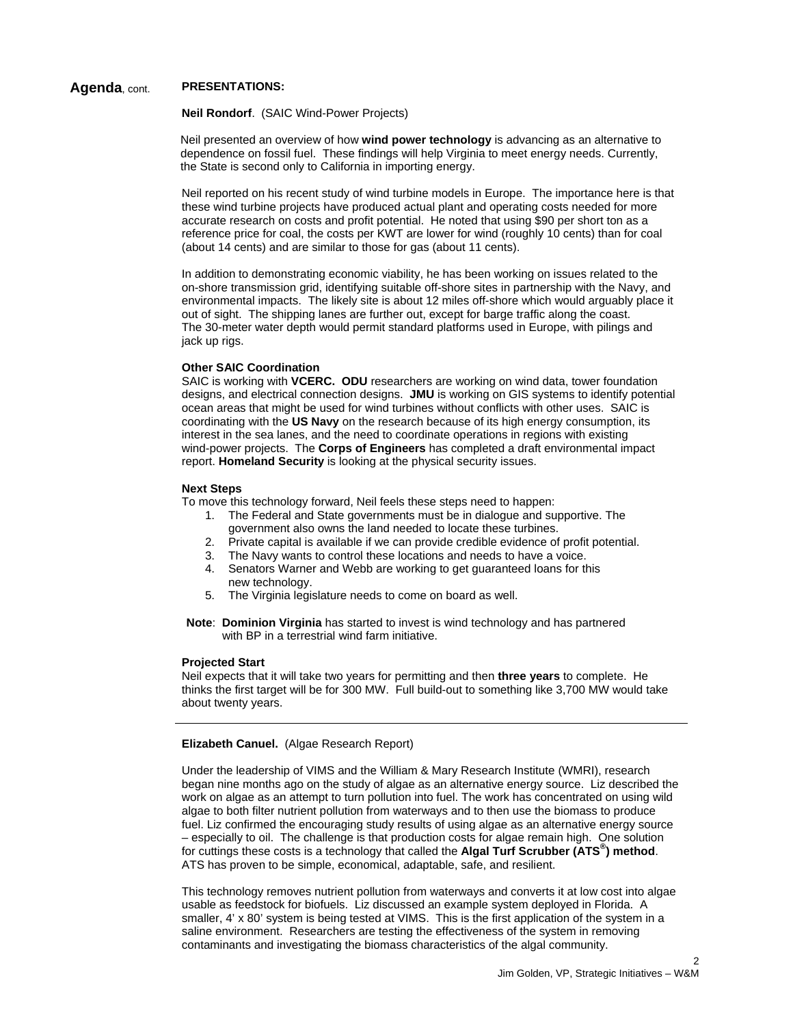# **Agenda**, cont. **PRESENTATIONS:**

#### **Neil Rondorf**. (SAIC Wind-Power Projects)

Neil presented an overview of how **wind power technology** is advancing as an alternative to dependence on fossil fuel. These findings will help Virginia to meet energy needs. Currently, the State is second only to California in importing energy.

Neil reported on his recent study of wind turbine models in Europe. The importance here is that these wind turbine projects have produced actual plant and operating costs needed for more accurate research on costs and profit potential. He noted that using \$90 per short ton as a reference price for coal, the costs per KWT are lower for wind (roughly 10 cents) than for coal (about 14 cents) and are similar to those for gas (about 11 cents).

In addition to demonstrating economic viability, he has been working on issues related to the on-shore transmission grid, identifying suitable off-shore sites in partnership with the Navy, and environmental impacts. The likely site is about 12 miles off-shore which would arguably place it out of sight. The shipping lanes are further out, except for barge traffic along the coast. The 30-meter water depth would permit standard platforms used in Europe, with pilings and jack up rigs.

#### **Other SAIC Coordination**

SAIC is working with **VCERC. ODU** researchers are working on wind data, tower foundation designs, and electrical connection designs. **JMU** is working on GIS systems to identify potential ocean areas that might be used for wind turbines without conflicts with other uses. SAIC is coordinating with the **US Navy** on the research because of its high energy consumption, its interest in the sea lanes, and the need to coordinate operations in regions with existing wind-power projects. The **Corps of Engineers** has completed a draft environmental impact report. **Homeland Security** is looking at the physical security issues.

#### **Next Steps**

To move this technology forward, Neil feels these steps need to happen:

- 1. The Federal and State governments must be in dialogue and supportive. The government also owns the land needed to locate these turbines.
- 2. Private capital is available if we can provide credible evidence of profit potential.
- 3. The Navy wants to control these locations and needs to have a voice.
- 4. Senators Warner and Webb are working to get guaranteed loans for this new technology.
- 5. The Virginia legislature needs to come on board as well.

**Note**: **Dominion Virginia** has started to invest is wind technology and has partnered with BP in a terrestrial wind farm initiative.

#### **Projected Start**

Neil expects that it will take two years for permitting and then **three years** to complete. He thinks the first target will be for 300 MW. Full build-out to something like 3,700 MW would take about twenty years.

#### **Elizabeth Canuel.** (Algae Research Report)

Under the leadership of VIMS and the William & Mary Research Institute (WMRI), research began nine months ago on the study of algae as an alternative energy source. Liz described the work on algae as an attempt to turn pollution into fuel. The work has concentrated on using wild algae to both filter nutrient pollution from waterways and to then use the biomass to produce fuel. Liz confirmed the encouraging study results of using algae as an alternative energy source – especially to oil. The challenge is that production costs for algae remain high. One solution for cuttings these costs is a technology that called the **Algal Turf Scrubber (ATS® ) method**. ATS has proven to be simple, economical, adaptable, safe, and resilient.

This technology removes nutrient pollution from waterways and converts it at low cost into algae usable as feedstock for biofuels. Liz discussed an example system deployed in Florida. A smaller, 4' x 80' system is being tested at VIMS. This is the first application of the system in a saline environment. Researchers are testing the effectiveness of the system in removing contaminants and investigating the biomass characteristics of the algal community.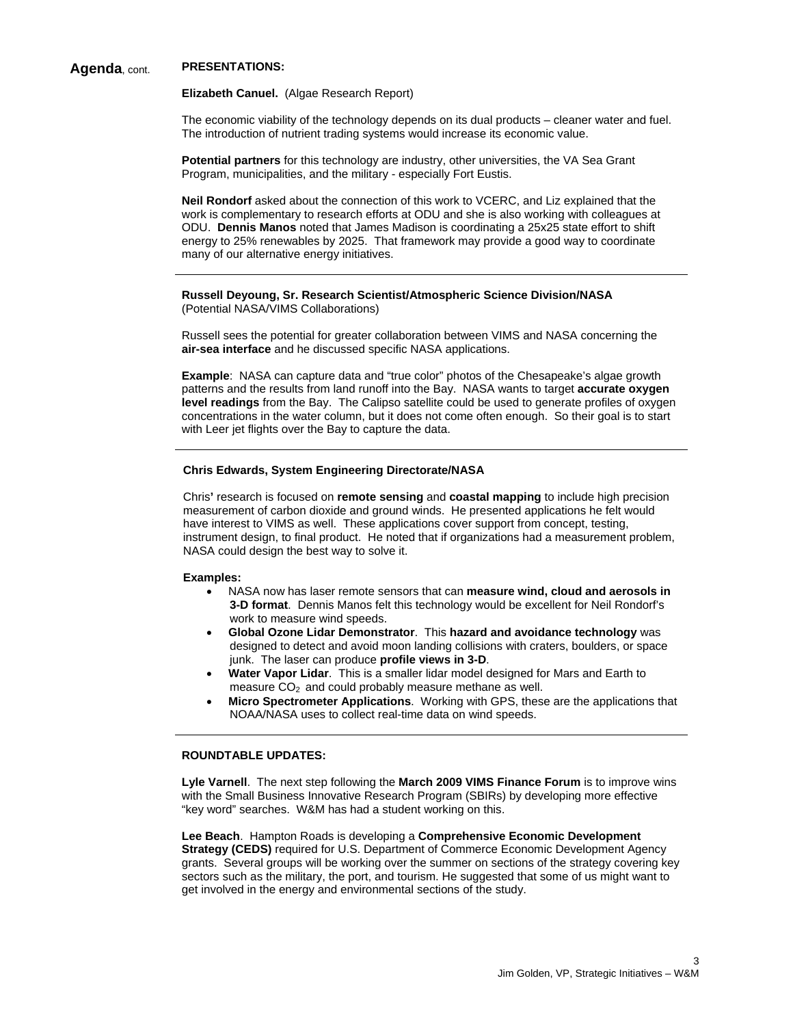# **Agenda**, cont. **PRESENTATIONS:**

#### **Elizabeth Canuel.** (Algae Research Report)

The economic viability of the technology depends on its dual products – cleaner water and fuel. The introduction of nutrient trading systems would increase its economic value.

**Potential partners** for this technology are industry, other universities, the VA Sea Grant Program, municipalities, and the military - especially Fort Eustis.

**Neil Rondorf** asked about the connection of this work to VCERC, and Liz explained that the work is complementary to research efforts at ODU and she is also working with colleagues at ODU. **Dennis Manos** noted that James Madison is coordinating a 25x25 state effort to shift energy to 25% renewables by 2025. That framework may provide a good way to coordinate many of our alternative energy initiatives.

#### **Russell Deyoung, Sr. Research Scientist/Atmospheric Science Division/NASA**  (Potential NASA/VIMS Collaborations)

Russell sees the potential for greater collaboration between VIMS and NASA concerning the **air-sea interface** and he discussed specific NASA applications.

**Example**: NASA can capture data and "true color" photos of the Chesapeake's algae growth patterns and the results from land runoff into the Bay. NASA wants to target **accurate oxygen level readings** from the Bay. The Calipso satellite could be used to generate profiles of oxygen concentrations in the water column, but it does not come often enough. So their goal is to start with Leer jet flights over the Bay to capture the data.

#### **Chris Edwards, System Engineering Directorate/NASA**

Chris**'** research is focused on **remote sensing** and **coastal mapping** to include high precision measurement of carbon dioxide and ground winds. He presented applications he felt would have interest to VIMS as well. These applications cover support from concept, testing, instrument design, to final product. He noted that if organizations had a measurement problem, NASA could design the best way to solve it.

#### **Examples:**

- NASA now has laser remote sensors that can **measure wind, cloud and aerosols in 3-D format**. Dennis Manos felt this technology would be excellent for Neil Rondorf's work to measure wind speeds.
- **Global Ozone Lidar Demonstrator**. This **hazard and avoidance technology** was designed to detect and avoid moon landing collisions with craters, boulders, or space junk. The laser can produce **profile views in 3-D**.
- **Water Vapor Lidar**. This is a smaller lidar model designed for Mars and Earth to measure  $CO<sub>2</sub>$  and could probably measure methane as well.
- **Micro Spectrometer Applications**. Working with GPS, these are the applications that NOAA/NASA uses to collect real-time data on wind speeds.

### **ROUNDTABLE UPDATES:**

**Lyle Varnell**. The next step following the **March 2009 VIMS Finance Forum** is to improve wins with the Small Business Innovative Research Program (SBIRs) by developing more effective "key word" searches. W&M has had a student working on this.

**Lee Beach**. Hampton Roads is developing a **Comprehensive Economic Development Strategy (CEDS)** required for U.S. Department of Commerce Economic Development Agency grants. Several groups will be working over the summer on sections of the strategy covering key sectors such as the military, the port, and tourism. He suggested that some of us might want to get involved in the energy and environmental sections of the study.